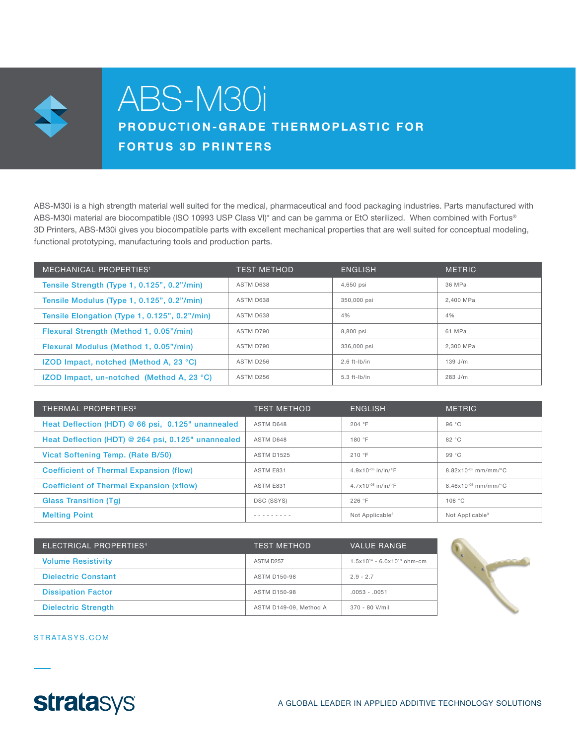

## ABS-M30i

## PRODUCTION-GRADE THERMOPLASTIC FOR FORTUS 3D PRINTERS

ABS-M30i is a high strength material well suited for the medical, pharmaceutical and food packaging industries. Parts manufactured with ABS-M30i material are biocompatible (ISO 10993 USP Class VI)\* and can be gamma or EtO sterilized. When combined with Fortus® 3D Printers, ABS-M30i gives you biocompatible parts with excellent mechanical properties that are well suited for conceptual modeling, functional prototyping, manufacturing tools and production parts.

| <b>MECHANICAL PROPERTIES<sup>1</sup></b>            | <b>TEST METHOD</b> | <b>ENGLISH</b> | <b>METRIC</b> |
|-----------------------------------------------------|--------------------|----------------|---------------|
| Tensile Strength (Type 1, 0.125", 0.2"/min)         | ASTM D638          | 4,650 psi      | 36 MPa        |
| Tensile Modulus (Type 1, 0.125", 0.2"/min)          | ASTM D638          | 350,000 psi    | 2.400 MPa     |
| Tensile Elongation (Type 1, 0.125", 0.2"/min)       | ASTM D638          | 4%             | 4%            |
| Flexural Strength (Method 1, 0.05"/min)             | ASTM D790          | 8.800 psi      | 61 MPa        |
| Flexural Modulus (Method 1, 0.05"/min)              | ASTM D790          | 336,000 psi    | 2.300 MPa     |
| <b>IZOD Impact, notched (Method A, 23 °C)</b>       | ASTM D256          | $2.6$ ft-lb/in | $139$ J/m     |
| IZOD Impact, un-notched (Method A, 23 $^{\circ}$ C) | ASTM D256          | $5.3$ ft-lb/in | $283$ J/m     |

| <b>THERMAL PROPERTIES<sup>2</sup></b>              | <b>TEST METHOD</b> | <b>ENGLISH</b>              | <b>METRIC</b>                 |
|----------------------------------------------------|--------------------|-----------------------------|-------------------------------|
| Heat Deflection (HDT) @ 66 psi, 0.125" unannealed  | ASTM D648          | 204 °F                      | 96 °C                         |
| Heat Deflection (HDT) @ 264 psi, 0.125" unannealed | ASTM D648          | 180 °F                      | 82 °C                         |
| Vicat Softening Temp. (Rate B/50)                  | <b>ASTM D1525</b>  | 210 °F                      | 99 °C                         |
| <b>Coefficient of Thermal Expansion (flow)</b>     | ASTM E831          | $4.9x10^{-05}$ in/in/°F     | $8.82\times10^{-05}$ mm/mm/°C |
| <b>Coefficient of Thermal Expansion (xflow)</b>    | ASTM E831          | $4.7x10^{-05}$ in/in/°F     | $8.46x10^{-05}$ mm/mm/°C      |
| <b>Glass Transition (Tg)</b>                       | DSC (SSYS)         | 226 °F                      | 108 °C                        |
| <b>Melting Point</b>                               |                    | Not Applicable <sup>3</sup> | Not Applicable <sup>3</sup>   |

| ELECTRICAL PROPERTIES <sup>4</sup> | <b>TEST METHOD</b>     | <b>VALUE RANGE</b>                 |
|------------------------------------|------------------------|------------------------------------|
| <b>Volume Resistivity</b>          | ASTM D <sub>257</sub>  | $1.5x10^{14} - 6.0x10^{13}$ ohm-cm |
| <b>Dielectric Constant</b>         | <b>ASTM D150-98</b>    | $2.9 - 2.7$                        |
| <b>Dissipation Factor</b>          | <b>ASTM D150-98</b>    | $.0053 - .0051$                    |
| <b>Dielectric Strength</b>         | ASTM D149-09. Method A | $370 - 80$ V/mil                   |



STRATASYS.COM